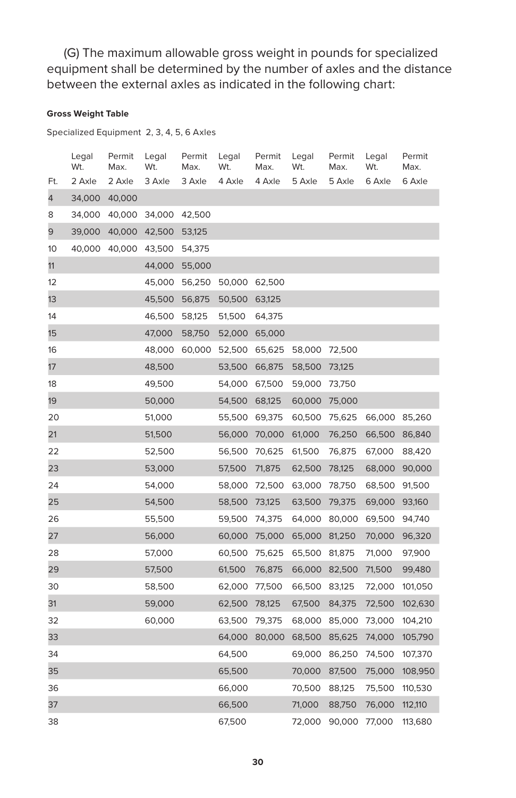(G) The maximum allowable gross weight in pounds for specialized equipment shall be determined by the number of axles and the distance between the external axles as indicated in the following chart:

## **Gross Weight Table**

Specialized Equipment 2, 3, 4, 5, 6 Axles

|     | Legal<br>Wt. | Permit<br>Max. | Legal<br>Wt. | Permit<br>Max. | Legal<br>Wt.  | Permit<br>Max. | Legal<br>Wt.  | Permit<br>Max. | Legal<br>Wt. | Permit<br>Max. |
|-----|--------------|----------------|--------------|----------------|---------------|----------------|---------------|----------------|--------------|----------------|
| Ft. | 2 Axle       | 2 Axle         | 3 Axle       | 3 Axle         | 4 Axle        | 4 Axle         | 5 Axle        | 5 Axle         | 6 Axle       | 6 Axle         |
| 4   | 34,000       | 40,000         |              |                |               |                |               |                |              |                |
| 8   | 34,000       | 40,000         | 34,000       | 42,500         |               |                |               |                |              |                |
| 9   | 39,000       | 40,000         | 42,500       | 53,125         |               |                |               |                |              |                |
| 10  | 40,000       | 40,000         | 43,500       | 54,375         |               |                |               |                |              |                |
| 11  |              |                | 44,000       | 55,000         |               |                |               |                |              |                |
| 12  |              |                | 45,000       | 56,250         | 50,000 62,500 |                |               |                |              |                |
| 13  |              |                | 45,500       | 56,875         | 50,500        | 63,125         |               |                |              |                |
| 14  |              |                | 46,500       | 58,125         | 51,500        | 64,375         |               |                |              |                |
| 15  |              |                | 47,000       | 58,750         | 52,000        | 65,000         |               |                |              |                |
| 16  |              |                | 48,000       | 60,000         |               | 52,500 65,625  | 58,000 72,500 |                |              |                |
| 17  |              |                | 48,500       |                | 53,500        | 66,875         | 58,500        | 73,125         |              |                |
| 18  |              |                | 49,500       |                | 54,000        | 67,500         | 59,000        | 73,750         |              |                |
| 19  |              |                | 50,000       |                | 54,500        | 68,125         | 60,000        | 75,000         |              |                |
| 20  |              |                | 51,000       |                | 55,500        | 69,375         | 60,500        | 75,625         | 66,000       | 85,260         |
| 21  |              |                | 51,500       |                |               | 56,000 70,000  | 61,000        | 76,250         | 66,500       | 86,840         |
| 22  |              |                | 52,500       |                | 56,500        | 70,625         | 61,500        | 76,875         | 67,000       | 88,420         |
| 23  |              |                | 53,000       |                | 57,500        | 71,875         | 62,500        | 78,125         | 68,000       | 90,000         |
| 24  |              |                | 54,000       |                | 58,000        | 72,500         | 63,000        | 78,750         | 68,500       | 91,500         |
| 25  |              |                | 54,500       |                | 58,500        | 73,125         | 63,500        | 79,375         | 69,000       | 93,160         |
| 26  |              |                | 55,500       |                | 59,500 74,375 |                |               | 64,000 80,000  | 69,500       | 94,740         |
| 27  |              |                | 56,000       |                | 60,000        | 75,000         | 65,000        | 81,250         | 70,000       | 96,320         |
| 28  |              |                | 57,000       |                | 60,500        | 75,625         | 65,500        | 81,875         | 71,000       | 97,900         |
| 29  |              |                | 57,500       |                | 61,500        | 76,875         | 66,000        | 82,500         | 71,500       | 99,480         |
| 30  |              |                | 58,500       |                | 62,000        | 77,500         | 66,500        | 83,125         | 72,000       | 101,050        |
| 31  |              |                | 59,000       |                | 62,500        | 78,125         | 67,500        | 84,375         | 72,500       | 102,630        |
| 32  |              |                | 60,000       |                | 63,500        | 79,375         | 68,000        | 85,000         | 73,000       | 104,210        |
| 33  |              |                |              |                | 64,000        | 80,000         | 68,500        | 85,625         | 74,000       | 105,790        |
| 34  |              |                |              |                | 64,500        |                | 69,000        | 86,250         | 74,500       | 107,370        |
| 35  |              |                |              |                | 65,500        |                | 70,000        | 87,500         | 75,000       | 108,950        |
| 36  |              |                |              |                | 66,000        |                | 70,500        | 88,125         | 75,500       | 110,530        |
| 37  |              |                |              |                | 66,500        |                | 71,000        | 88,750         | 76,000       | 112,110        |
| 38  |              |                |              |                | 67,500        |                | 72,000        | 90,000         | 77,000       | 113,680        |